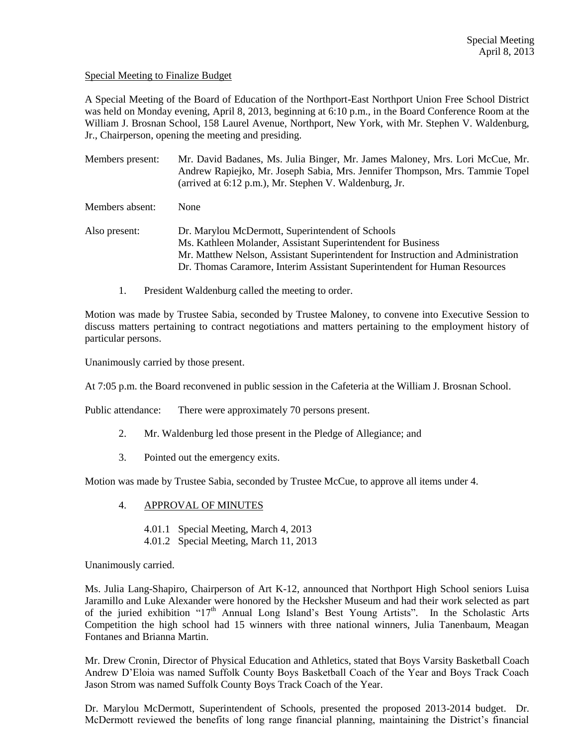## Special Meeting to Finalize Budget

A Special Meeting of the Board of Education of the Northport-East Northport Union Free School District was held on Monday evening, April 8, 2013, beginning at 6:10 p.m., in the Board Conference Room at the William J. Brosnan School, 158 Laurel Avenue, Northport, New York, with Mr. Stephen V. Waldenburg, Jr., Chairperson, opening the meeting and presiding.

Members present: Mr. David Badanes, Ms. Julia Binger, Mr. James Maloney, Mrs. Lori McCue, Mr. Andrew Rapiejko, Mr. Joseph Sabia, Mrs. Jennifer Thompson, Mrs. Tammie Topel (arrived at 6:12 p.m.), Mr. Stephen V. Waldenburg, Jr. Members absent: None

Also present: Dr. Marylou McDermott, Superintendent of Schools Ms. Kathleen Molander, Assistant Superintendent for Business Mr. Matthew Nelson, Assistant Superintendent for Instruction and Administration Dr. Thomas Caramore, Interim Assistant Superintendent for Human Resources

1. President Waldenburg called the meeting to order.

Motion was made by Trustee Sabia, seconded by Trustee Maloney, to convene into Executive Session to discuss matters pertaining to contract negotiations and matters pertaining to the employment history of particular persons.

Unanimously carried by those present.

At 7:05 p.m. the Board reconvened in public session in the Cafeteria at the William J. Brosnan School.

Public attendance: There were approximately 70 persons present.

- 2. Mr. Waldenburg led those present in the Pledge of Allegiance; and
- 3. Pointed out the emergency exits.

Motion was made by Trustee Sabia, seconded by Trustee McCue, to approve all items under 4.

- 4. APPROVAL OF MINUTES
	- 4.01.1 Special Meeting, March 4, 2013
	- 4.01.2 Special Meeting, March 11, 2013

Unanimously carried.

Ms. Julia Lang-Shapiro, Chairperson of Art K-12, announced that Northport High School seniors Luisa Jaramillo and Luke Alexander were honored by the Hecksher Museum and had their work selected as part of the juried exhibition "17<sup>th</sup> Annual Long Island's Best Young Artists". In the Scholastic Arts Competition the high school had 15 winners with three national winners, Julia Tanenbaum, Meagan Fontanes and Brianna Martin.

Mr. Drew Cronin, Director of Physical Education and Athletics, stated that Boys Varsity Basketball Coach Andrew D'Eloia was named Suffolk County Boys Basketball Coach of the Year and Boys Track Coach Jason Strom was named Suffolk County Boys Track Coach of the Year.

Dr. Marylou McDermott, Superintendent of Schools, presented the proposed 2013-2014 budget. Dr. McDermott reviewed the benefits of long range financial planning, maintaining the District's financial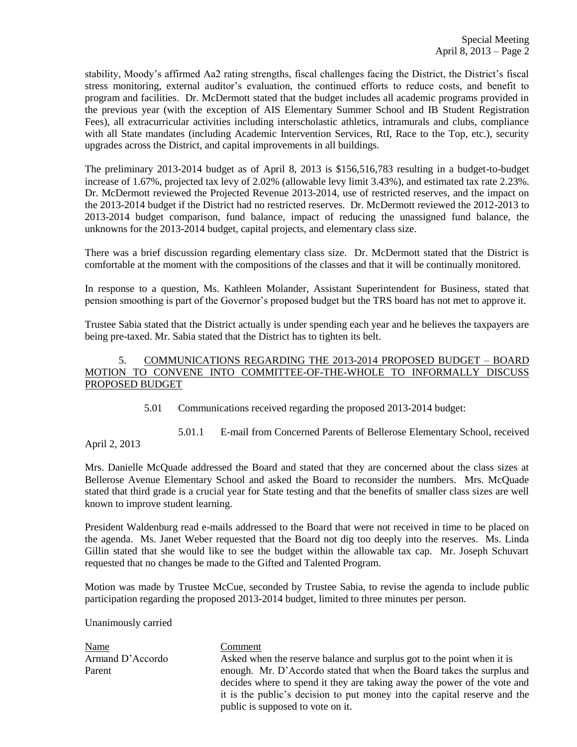stability, Moody's affirmed Aa2 rating strengths, fiscal challenges facing the District, the District's fiscal stress monitoring, external auditor's evaluation, the continued efforts to reduce costs, and benefit to program and facilities. Dr. McDermott stated that the budget includes all academic programs provided in the previous year (with the exception of AIS Elementary Summer School and IB Student Registration Fees), all extracurricular activities including interscholastic athletics, intramurals and clubs, compliance with all State mandates (including Academic Intervention Services, RtI, Race to the Top, etc.), security upgrades across the District, and capital improvements in all buildings.

The preliminary 2013-2014 budget as of April 8, 2013 is \$156,516,783 resulting in a budget-to-budget increase of 1.67%, projected tax levy of 2.02% (allowable levy limit 3.43%), and estimated tax rate 2.23%. Dr. McDermott reviewed the Projected Revenue 2013-2014, use of restricted reserves, and the impact on the 2013-2014 budget if the District had no restricted reserves. Dr. McDermott reviewed the 2012-2013 to 2013-2014 budget comparison, fund balance, impact of reducing the unassigned fund balance, the unknowns for the 2013-2014 budget, capital projects, and elementary class size.

There was a brief discussion regarding elementary class size. Dr. McDermott stated that the District is comfortable at the moment with the compositions of the classes and that it will be continually monitored.

In response to a question, Ms. Kathleen Molander, Assistant Superintendent for Business, stated that pension smoothing is part of the Governor's proposed budget but the TRS board has not met to approve it.

Trustee Sabia stated that the District actually is under spending each year and he believes the taxpayers are being pre-taxed. Mr. Sabia stated that the District has to tighten its belt.

# 5. COMMUNICATIONS REGARDING THE 2013-2014 PROPOSED BUDGET – BOARD MOTION TO CONVENE INTO COMMITTEE-OF-THE-WHOLE TO INFORMALLY DISCUSS PROPOSED BUDGET

5.01 Communications received regarding the proposed 2013-2014 budget:

5.01.1 E-mail from Concerned Parents of Bellerose Elementary School, received

April 2, 2013

Mrs. Danielle McQuade addressed the Board and stated that they are concerned about the class sizes at Bellerose Avenue Elementary School and asked the Board to reconsider the numbers. Mrs. McQuade stated that third grade is a crucial year for State testing and that the benefits of smaller class sizes are well known to improve student learning.

President Waldenburg read e-mails addressed to the Board that were not received in time to be placed on the agenda. Ms. Janet Weber requested that the Board not dig too deeply into the reserves. Ms. Linda Gillin stated that she would like to see the budget within the allowable tax cap. Mr. Joseph Schuvart requested that no changes be made to the Gifted and Talented Program.

Motion was made by Trustee McCue, seconded by Trustee Sabia, to revise the agenda to include public participation regarding the proposed 2013-2014 budget, limited to three minutes per person.

Unanimously carried

Name Comment

Armand D'Accordo Asked when the reserve balance and surplus got to the point when it is Parent enough. Mr. D'Accordo stated that when the Board takes the surplus and decides where to spend it they are taking away the power of the vote and it is the public's decision to put money into the capital reserve and the public is supposed to vote on it.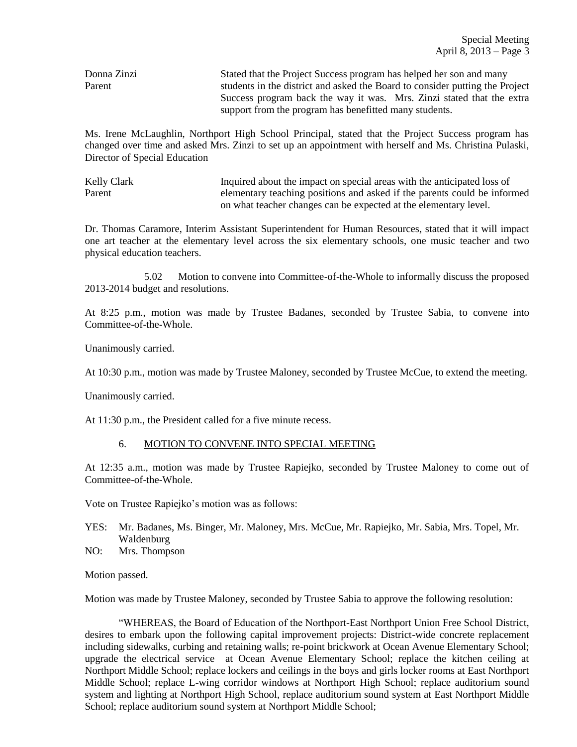Donna Zinzi Stated that the Project Success program has helped her son and many Parent students in the district and asked the Board to consider putting the Project Success program back the way it was. Mrs. Zinzi stated that the extra support from the program has benefitted many students.

Ms. Irene McLaughlin, Northport High School Principal, stated that the Project Success program has changed over time and asked Mrs. Zinzi to set up an appointment with herself and Ms. Christina Pulaski, Director of Special Education

Kelly Clark Inquired about the impact on special areas with the anticipated loss of Parent elementary teaching positions and asked if the parents could be informed on what teacher changes can be expected at the elementary level.

Dr. Thomas Caramore, Interim Assistant Superintendent for Human Resources, stated that it will impact one art teacher at the elementary level across the six elementary schools, one music teacher and two physical education teachers.

5.02 Motion to convene into Committee-of-the-Whole to informally discuss the proposed 2013-2014 budget and resolutions.

At 8:25 p.m., motion was made by Trustee Badanes, seconded by Trustee Sabia, to convene into Committee-of-the-Whole.

Unanimously carried.

At 10:30 p.m., motion was made by Trustee Maloney, seconded by Trustee McCue, to extend the meeting.

Unanimously carried.

At 11:30 p.m., the President called for a five minute recess.

## 6. MOTION TO CONVENE INTO SPECIAL MEETING

At 12:35 a.m., motion was made by Trustee Rapiejko, seconded by Trustee Maloney to come out of Committee-of-the-Whole.

Vote on Trustee Rapiejko's motion was as follows:

- YES: Mr. Badanes, Ms. Binger, Mr. Maloney, Mrs. McCue, Mr. Rapiejko, Mr. Sabia, Mrs. Topel, Mr. Waldenburg
- NO: Mrs. Thompson

Motion passed.

Motion was made by Trustee Maloney, seconded by Trustee Sabia to approve the following resolution:

"WHEREAS, the Board of Education of the Northport-East Northport Union Free School District, desires to embark upon the following capital improvement projects: District-wide concrete replacement including sidewalks, curbing and retaining walls; re-point brickwork at Ocean Avenue Elementary School; upgrade the electrical service at Ocean Avenue Elementary School; replace the kitchen ceiling at Northport Middle School; replace lockers and ceilings in the boys and girls locker rooms at East Northport Middle School; replace L-wing corridor windows at Northport High School; replace auditorium sound system and lighting at Northport High School, replace auditorium sound system at East Northport Middle School; replace auditorium sound system at Northport Middle School;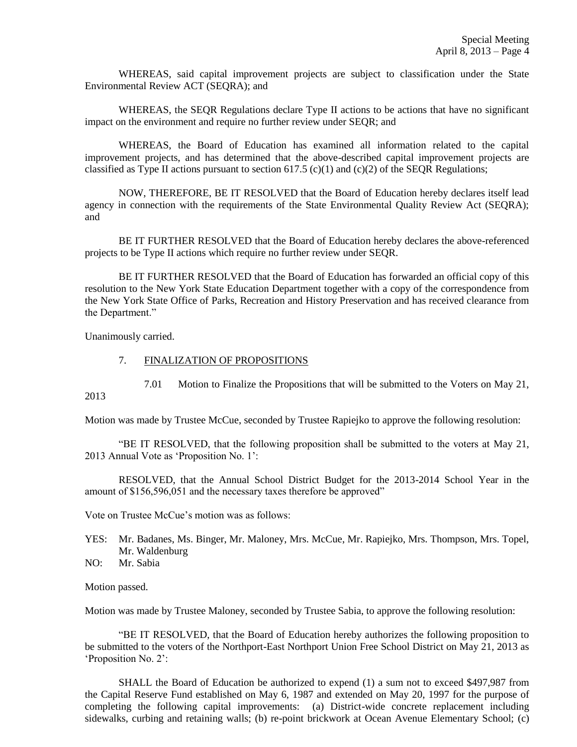WHEREAS, said capital improvement projects are subject to classification under the State Environmental Review ACT (SEQRA); and

WHEREAS, the SEQR Regulations declare Type II actions to be actions that have no significant impact on the environment and require no further review under SEQR; and

WHEREAS, the Board of Education has examined all information related to the capital improvement projects, and has determined that the above-described capital improvement projects are classified as Type II actions pursuant to section  $617.5$  (c)(1) and (c)(2) of the SEQR Regulations;

NOW, THEREFORE, BE IT RESOLVED that the Board of Education hereby declares itself lead agency in connection with the requirements of the State Environmental Quality Review Act (SEQRA); and

BE IT FURTHER RESOLVED that the Board of Education hereby declares the above-referenced projects to be Type II actions which require no further review under SEQR.

BE IT FURTHER RESOLVED that the Board of Education has forwarded an official copy of this resolution to the New York State Education Department together with a copy of the correspondence from the New York State Office of Parks, Recreation and History Preservation and has received clearance from the Department."

Unanimously carried.

## 7. FINALIZATION OF PROPOSITIONS

7.01 Motion to Finalize the Propositions that will be submitted to the Voters on May 21,

2013

Motion was made by Trustee McCue, seconded by Trustee Rapiejko to approve the following resolution:

"BE IT RESOLVED, that the following proposition shall be submitted to the voters at May 21, 2013 Annual Vote as 'Proposition No. 1':

RESOLVED, that the Annual School District Budget for the 2013-2014 School Year in the amount of \$156,596,051 and the necessary taxes therefore be approved"

Vote on Trustee McCue's motion was as follows:

YES: Mr. Badanes, Ms. Binger, Mr. Maloney, Mrs. McCue, Mr. Rapiejko, Mrs. Thompson, Mrs. Topel, Mr. Waldenburg

NO: Mr. Sabia

Motion passed.

Motion was made by Trustee Maloney, seconded by Trustee Sabia, to approve the following resolution:

"BE IT RESOLVED, that the Board of Education hereby authorizes the following proposition to be submitted to the voters of the Northport-East Northport Union Free School District on May 21, 2013 as 'Proposition No. 2':

SHALL the Board of Education be authorized to expend (1) a sum not to exceed \$497,987 from the Capital Reserve Fund established on May 6, 1987 and extended on May 20, 1997 for the purpose of completing the following capital improvements: (a) District-wide concrete replacement including sidewalks, curbing and retaining walls; (b) re-point brickwork at Ocean Avenue Elementary School; (c)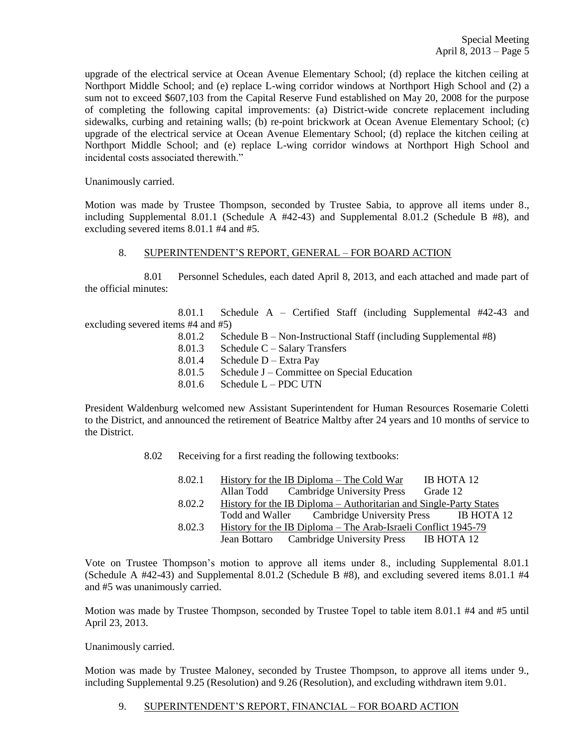upgrade of the electrical service at Ocean Avenue Elementary School; (d) replace the kitchen ceiling at Northport Middle School; and (e) replace L-wing corridor windows at Northport High School and (2) a sum not to exceed \$607,103 from the Capital Reserve Fund established on May 20, 2008 for the purpose of completing the following capital improvements: (a) District-wide concrete replacement including sidewalks, curbing and retaining walls; (b) re-point brickwork at Ocean Avenue Elementary School; (c) upgrade of the electrical service at Ocean Avenue Elementary School; (d) replace the kitchen ceiling at Northport Middle School; and (e) replace L-wing corridor windows at Northport High School and incidental costs associated therewith."

Unanimously carried.

Motion was made by Trustee Thompson, seconded by Trustee Sabia, to approve all items under 8., including Supplemental 8.01.1 (Schedule A #42-43) and Supplemental 8.01.2 (Schedule B #8), and excluding severed items 8.01.1 #4 and #5.

#### 8. SUPERINTENDENT'S REPORT, GENERAL – FOR BOARD ACTION

8.01 Personnel Schedules, each dated April 8, 2013, and each attached and made part of the official minutes:

8.01.1 Schedule A – Certified Staff (including Supplemental #42-43 and excluding severed items #4 and #5)

- 8.01.2 Schedule B Non-Instructional Staff (including Supplemental #8)
- 8.01.3 Schedule C Salary Transfers
- 8.01.4 Schedule D Extra Pay
- 8.01.5 Schedule J Committee on Special Education
- 8.01.6 Schedule L PDC UTN

President Waldenburg welcomed new Assistant Superintendent for Human Resources Rosemarie Coletti to the District, and announced the retirement of Beatrice Maltby after 24 years and 10 months of service to the District.

8.02 Receiving for a first reading the following textbooks:

| 8.02.1 | IB HOTA 12<br>History for the IB Diploma – The Cold War                |
|--------|------------------------------------------------------------------------|
|        | Allan Todd Cambridge University Press<br>Grade 12                      |
| 8.02.2 | History for the IB Diploma – Authoritarian and Single-Party States     |
|        | Todd and Waller Cambridge University Press IB HOTA 12                  |
| 8.02.3 | <u> History for the IB Diploma – The Arab-Israeli Conflict 1945-79</u> |
|        | Jean Bottaro Cambridge University Press IB HOTA 12                     |

Vote on Trustee Thompson's motion to approve all items under 8., including Supplemental 8.01.1 (Schedule A  $#42-43$ ) and Supplemental 8.01.2 (Schedule B  $#8$ ), and excluding severed items 8.01.1  $#4$ and #5 was unanimously carried.

Motion was made by Trustee Thompson, seconded by Trustee Topel to table item 8.01.1 #4 and #5 until April 23, 2013.

Unanimously carried.

Motion was made by Trustee Maloney, seconded by Trustee Thompson, to approve all items under 9., including Supplemental 9.25 (Resolution) and 9.26 (Resolution), and excluding withdrawn item 9.01.

9. SUPERINTENDENT'S REPORT, FINANCIAL – FOR BOARD ACTION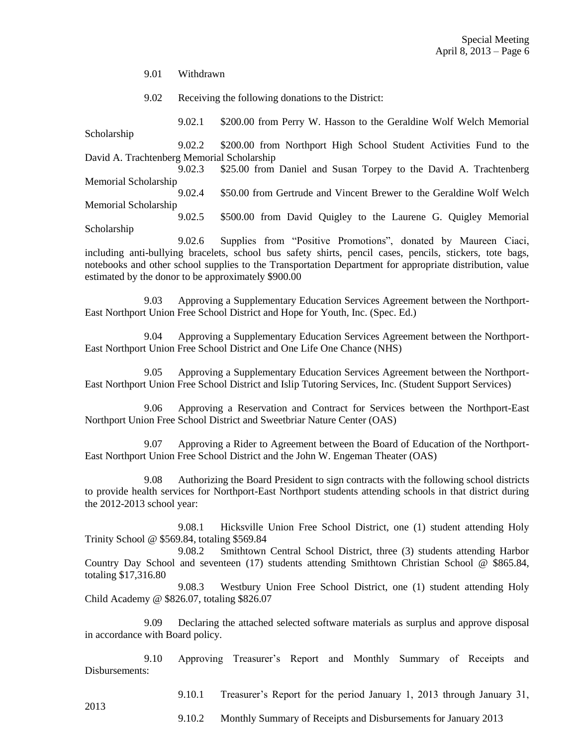9.01 Withdrawn

9.02 Receiving the following donations to the District:

9.02.1 \$200.00 from Perry W. Hasson to the Geraldine Wolf Welch Memorial Scholarship 9.02.2 \$200.00 from Northport High School Student Activities Fund to the

David A. Trachtenberg Memorial Scholarship 9.02.3 \$25.00 from Daniel and Susan Torpey to the David A. Trachtenberg

Memorial Scholarship 9.02.4 \$50.00 from Gertrude and Vincent Brewer to the Geraldine Wolf Welch Memorial Scholarship

9.02.5 \$500.00 from David Quigley to the Laurene G. Quigley Memorial Scholarship

9.02.6 Supplies from "Positive Promotions", donated by Maureen Ciaci, including anti-bullying bracelets, school bus safety shirts, pencil cases, pencils, stickers, tote bags, notebooks and other school supplies to the Transportation Department for appropriate distribution, value estimated by the donor to be approximately \$900.00

9.03 Approving a Supplementary Education Services Agreement between the Northport-East Northport Union Free School District and Hope for Youth, Inc. (Spec. Ed.)

9.04 Approving a Supplementary Education Services Agreement between the Northport-East Northport Union Free School District and One Life One Chance (NHS)

9.05 Approving a Supplementary Education Services Agreement between the Northport-East Northport Union Free School District and Islip Tutoring Services, Inc. (Student Support Services)

9.06 Approving a Reservation and Contract for Services between the Northport-East Northport Union Free School District and Sweetbriar Nature Center (OAS)

9.07 Approving a Rider to Agreement between the Board of Education of the Northport-East Northport Union Free School District and the John W. Engeman Theater (OAS)

9.08 Authorizing the Board President to sign contracts with the following school districts to provide health services for Northport-East Northport students attending schools in that district during the 2012-2013 school year:

9.08.1 Hicksville Union Free School District, one (1) student attending Holy Trinity School @ \$569.84, totaling \$569.84

9.08.2 Smithtown Central School District, three (3) students attending Harbor Country Day School and seventeen (17) students attending Smithtown Christian School @ \$865.84, totaling \$17,316.80

9.08.3 Westbury Union Free School District, one (1) student attending Holy Child Academy @ \$826.07, totaling \$826.07

9.09 Declaring the attached selected software materials as surplus and approve disposal in accordance with Board policy.

9.10 Approving Treasurer's Report and Monthly Summary of Receipts and Disbursements:

9.10.1 Treasurer's Report for the period January 1, 2013 through January 31,

9.10.2 Monthly Summary of Receipts and Disbursements for January 2013

2013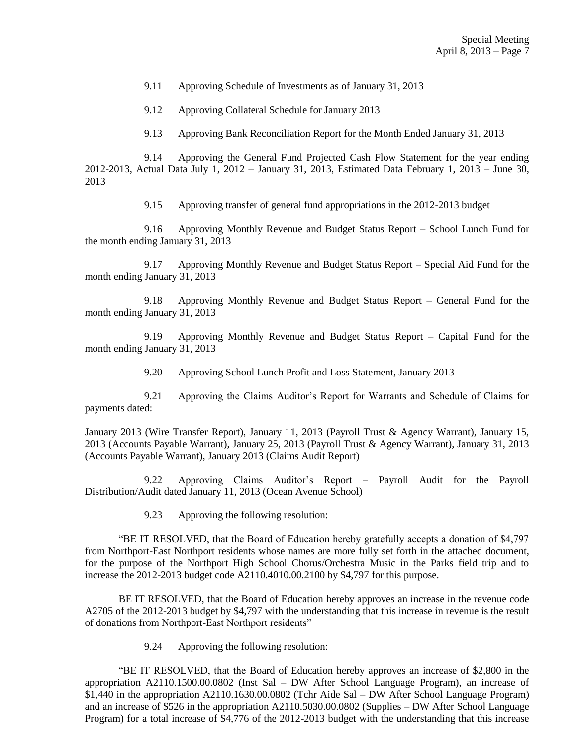9.11 Approving Schedule of Investments as of January 31, 2013

9.12 Approving Collateral Schedule for January 2013

9.13 Approving Bank Reconciliation Report for the Month Ended January 31, 2013

9.14 Approving the General Fund Projected Cash Flow Statement for the year ending 2012-2013, Actual Data July 1, 2012 – January 31, 2013, Estimated Data February 1, 2013 – June 30, 2013

9.15 Approving transfer of general fund appropriations in the 2012-2013 budget

9.16 Approving Monthly Revenue and Budget Status Report – School Lunch Fund for the month ending January 31, 2013

9.17 Approving Monthly Revenue and Budget Status Report – Special Aid Fund for the month ending January 31, 2013

9.18 Approving Monthly Revenue and Budget Status Report – General Fund for the month ending January 31, 2013

9.19 Approving Monthly Revenue and Budget Status Report – Capital Fund for the month ending January 31, 2013

9.20 Approving School Lunch Profit and Loss Statement, January 2013

9.21 Approving the Claims Auditor's Report for Warrants and Schedule of Claims for payments dated:

January 2013 (Wire Transfer Report), January 11, 2013 (Payroll Trust & Agency Warrant), January 15, 2013 (Accounts Payable Warrant), January 25, 2013 (Payroll Trust & Agency Warrant), January 31, 2013 (Accounts Payable Warrant), January 2013 (Claims Audit Report)

9.22 Approving Claims Auditor's Report – Payroll Audit for the Payroll Distribution/Audit dated January 11, 2013 (Ocean Avenue School)

9.23 Approving the following resolution:

"BE IT RESOLVED, that the Board of Education hereby gratefully accepts a donation of \$4,797 from Northport-East Northport residents whose names are more fully set forth in the attached document, for the purpose of the Northport High School Chorus/Orchestra Music in the Parks field trip and to increase the 2012-2013 budget code A2110.4010.00.2100 by \$4,797 for this purpose.

BE IT RESOLVED, that the Board of Education hereby approves an increase in the revenue code A2705 of the 2012-2013 budget by \$4,797 with the understanding that this increase in revenue is the result of donations from Northport-East Northport residents"

9.24 Approving the following resolution:

"BE IT RESOLVED, that the Board of Education hereby approves an increase of \$2,800 in the appropriation A2110.1500.00.0802 (Inst Sal – DW After School Language Program), an increase of \$1,440 in the appropriation A2110.1630.00.0802 (Tchr Aide Sal – DW After School Language Program) and an increase of \$526 in the appropriation A2110.5030.00.0802 (Supplies – DW After School Language Program) for a total increase of \$4,776 of the 2012-2013 budget with the understanding that this increase